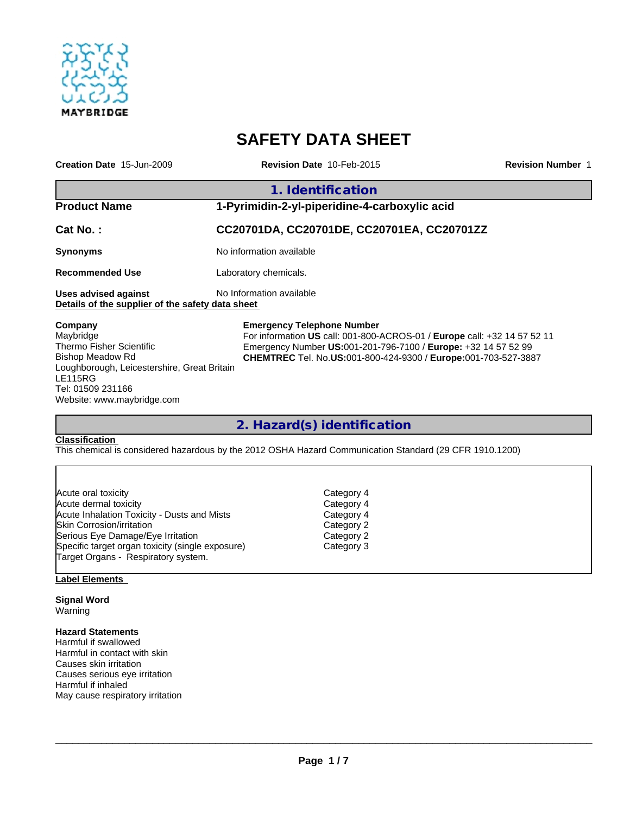

# **SAFETY DATA SHEET**

| Creation Date 15-Jun-2009                                                                                                                                                                       | <b>Revision Date 10-Feb-2015</b>                                                                                                                                                                                                                         | <b>Revision Number 1</b>                   |  |  |  |
|-------------------------------------------------------------------------------------------------------------------------------------------------------------------------------------------------|----------------------------------------------------------------------------------------------------------------------------------------------------------------------------------------------------------------------------------------------------------|--------------------------------------------|--|--|--|
|                                                                                                                                                                                                 | 1. Identification                                                                                                                                                                                                                                        |                                            |  |  |  |
| <b>Product Name</b>                                                                                                                                                                             | 1-Pyrimidin-2-yl-piperidine-4-carboxylic acid                                                                                                                                                                                                            |                                            |  |  |  |
| Cat No.:                                                                                                                                                                                        |                                                                                                                                                                                                                                                          | CC20701DA, CC20701DE, CC20701EA, CC20701ZZ |  |  |  |
| <b>Synonyms</b>                                                                                                                                                                                 | No information available                                                                                                                                                                                                                                 |                                            |  |  |  |
| <b>Recommended Use</b>                                                                                                                                                                          | Laboratory chemicals.                                                                                                                                                                                                                                    |                                            |  |  |  |
| <b>Uses advised against</b><br>Details of the supplier of the safety data sheet                                                                                                                 | No Information available                                                                                                                                                                                                                                 |                                            |  |  |  |
| Company<br>Maybridge<br><b>Thermo Fisher Scientific</b><br>Bishop Meadow Rd<br>Loughborough, Leicestershire, Great Britain<br><b>LE115RG</b><br>Tel: 01509 231166<br>Website: www.maybridge.com | <b>Emergency Telephone Number</b><br>For information US call: 001-800-ACROS-01 / Europe call: +32 14 57 52 11<br>Emergency Number US:001-201-796-7100 / Europe: +32 14 57 52 99<br><b>CHEMTREC</b> Tel. No.US:001-800-424-9300 / Europe:001-703-527-3887 |                                            |  |  |  |

**2. Hazard(s) identification**

#### **Classification**

This chemical is considered hazardous by the 2012 OSHA Hazard Communication Standard (29 CFR 1910.1200)

| Acute oral toxicity                              | Category 4 |  |
|--------------------------------------------------|------------|--|
| Acute dermal toxicity                            | Category 4 |  |
| Acute Inhalation Toxicity - Dusts and Mists      | Category 4 |  |
| Skin Corrosion/irritation                        | Category 2 |  |
| Serious Eye Damage/Eye Irritation                | Category 2 |  |
| Specific target organ toxicity (single exposure) | Category 3 |  |
| Target Organs - Respiratory system.              |            |  |

## **Label Elements**

**Signal Word** Warning

#### **Hazard Statements**

Harmful if swallowed Harmful in contact with skin Causes skin irritation Causes serious eye irritation Harmful if inhaled May cause respiratory irritation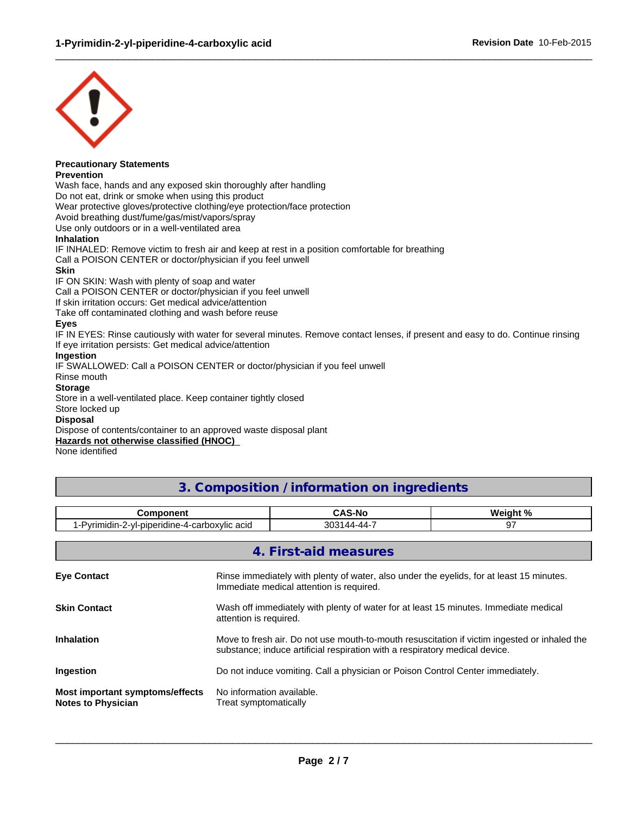

#### **Precautionary Statements Prevention**

Wash face, hands and any exposed skin thoroughly after handling Do not eat, drink or smoke when using this product Wear protective gloves/protective clothing/eye protection/face protection

Avoid breathing dust/fume/gas/mist/vapors/spray

Use only outdoors or in a well-ventilated area

#### **Inhalation**

IF INHALED: Remove victim to fresh air and keep at rest in a position comfortable for breathing Call a POISON CENTER or doctor/physician if you feel unwell

#### **Skin**

IF ON SKIN: Wash with plenty of soap and water

Call a POISON CENTER or doctor/physician if you feel unwell

If skin irritation occurs: Get medical advice/attention

Take off contaminated clothing and wash before reuse

#### **Eyes**

IF IN EYES: Rinse cautiously with water for several minutes. Remove contact lenses, if present and easy to do. Continue rinsing If eye irritation persists: Get medical advice/attention

 $\_$  ,  $\_$  ,  $\_$  ,  $\_$  ,  $\_$  ,  $\_$  ,  $\_$  ,  $\_$  ,  $\_$  ,  $\_$  ,  $\_$  ,  $\_$  ,  $\_$  ,  $\_$  ,  $\_$  ,  $\_$  ,  $\_$  ,  $\_$  ,  $\_$  ,  $\_$  ,  $\_$  ,  $\_$  ,  $\_$  ,  $\_$  ,  $\_$  ,  $\_$  ,  $\_$  ,  $\_$  ,  $\_$  ,  $\_$  ,  $\_$  ,  $\_$  ,  $\_$  ,  $\_$  ,  $\_$  ,  $\_$  ,  $\_$  ,

#### **Ingestion**

IF SWALLOWED: Call a POISON CENTER or doctor/physician if you feel unwell

Rinse mouth

#### **Storage**

Store in a well-ventilated place. Keep container tightly closed

#### Store locked up

#### **Disposal**

Dispose of contents/container to an approved waste disposal plant

## **Hazards not otherwise classified (HNOC)**

None identified

## **3. Composition / information on ingredients**

| nmnnnant                                                                      | $\ddot{\phantom{1}}$<br>. . | $M$ ainht % |
|-------------------------------------------------------------------------------|-----------------------------|-------------|
| --<br>. .<br>…⊷arboxylic ari~<br>nın<br>rıdıne<br>⊃vrır<br>ın<br>nıc<br>----- | $\sim$<br>-44<br>JU.        | J.          |

|                                                              | 4. First-aid measures                                                                                                                                                       |
|--------------------------------------------------------------|-----------------------------------------------------------------------------------------------------------------------------------------------------------------------------|
| <b>Eye Contact</b>                                           | Rinse immediately with plenty of water, also under the eyelids, for at least 15 minutes.<br>Immediate medical attention is required.                                        |
| <b>Skin Contact</b>                                          | Wash off immediately with plenty of water for at least 15 minutes. Immediate medical<br>attention is required.                                                              |
| <b>Inhalation</b>                                            | Move to fresh air. Do not use mouth-to-mouth resuscitation if victim ingested or inhaled the<br>substance; induce artificial respiration with a respiratory medical device. |
| Ingestion                                                    | Do not induce vomiting. Call a physician or Poison Control Center immediately.                                                                                              |
| Most important symptoms/effects<br><b>Notes to Physician</b> | No information available.<br>Treat symptomatically                                                                                                                          |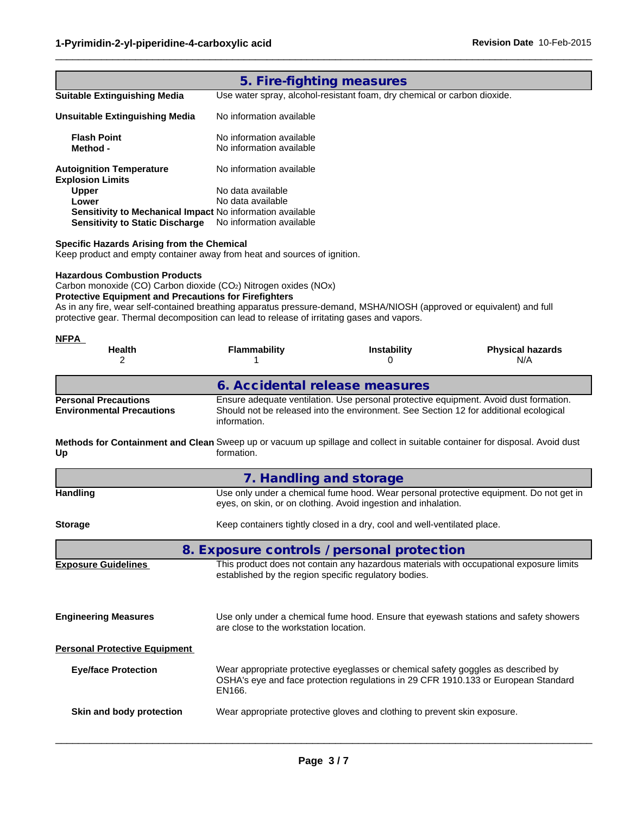| 5. Fire-fighting measures                                  |                                                                          |  |
|------------------------------------------------------------|--------------------------------------------------------------------------|--|
| <b>Suitable Extinguishing Media</b>                        | Use water spray, alcohol-resistant foam, dry chemical or carbon dioxide. |  |
| Unsuitable Extinguishing Media                             | No information available                                                 |  |
| <b>Flash Point</b><br>Method -                             | No information available<br>No information available                     |  |
| <b>Autoignition Temperature</b><br><b>Explosion Limits</b> | No information available                                                 |  |
| <b>Upper</b>                                               | No data available                                                        |  |
| Lower                                                      | No data available                                                        |  |
| Sensitivity to Mechanical Impact No information available  |                                                                          |  |
| <b>Sensitivity to Static Discharge</b>                     | No information available                                                 |  |
|                                                            |                                                                          |  |

 $\_$  ,  $\_$  ,  $\_$  ,  $\_$  ,  $\_$  ,  $\_$  ,  $\_$  ,  $\_$  ,  $\_$  ,  $\_$  ,  $\_$  ,  $\_$  ,  $\_$  ,  $\_$  ,  $\_$  ,  $\_$  ,  $\_$  ,  $\_$  ,  $\_$  ,  $\_$  ,  $\_$  ,  $\_$  ,  $\_$  ,  $\_$  ,  $\_$  ,  $\_$  ,  $\_$  ,  $\_$  ,  $\_$  ,  $\_$  ,  $\_$  ,  $\_$  ,  $\_$  ,  $\_$  ,  $\_$  ,  $\_$  ,  $\_$  ,

**Specific Hazards Arising from the Chemical** Keep product and empty container away from heat and sources of ignition.

#### **Hazardous Combustion Products**

Carbon monoxide (CO) Carbon dioxide (CO2) Nitrogen oxides (NOx)

#### **Protective Equipment and Precautions for Firefighters**

As in any fire, wear self-contained breathing apparatus pressure-demand, MSHA/NIOSH (approved or equivalent) and full protective gear. Thermal decomposition can lead to release of irritating gases and vapors.

| <b>NFPA</b>                                                                                                                       |                                                                                                                                                                                                |                                                                                                                                                                         |                                                                                         |
|-----------------------------------------------------------------------------------------------------------------------------------|------------------------------------------------------------------------------------------------------------------------------------------------------------------------------------------------|-------------------------------------------------------------------------------------------------------------------------------------------------------------------------|-----------------------------------------------------------------------------------------|
| <b>Health</b><br>2                                                                                                                | <b>Flammability</b>                                                                                                                                                                            | <b>Instability</b><br>n                                                                                                                                                 | <b>Physical hazards</b><br>N/A                                                          |
|                                                                                                                                   | 6. Accidental release measures                                                                                                                                                                 |                                                                                                                                                                         |                                                                                         |
| <b>Personal Precautions</b><br><b>Environmental Precautions</b>                                                                   | Ensure adequate ventilation. Use personal protective equipment. Avoid dust formation.<br>Should not be released into the environment. See Section 12 for additional ecological<br>information. |                                                                                                                                                                         |                                                                                         |
| Methods for Containment and Clean Sweep up or vacuum up spillage and collect in suitable container for disposal. Avoid dust<br>Up | formation.                                                                                                                                                                                     |                                                                                                                                                                         |                                                                                         |
|                                                                                                                                   | 7. Handling and storage                                                                                                                                                                        |                                                                                                                                                                         |                                                                                         |
| <b>Handling</b>                                                                                                                   |                                                                                                                                                                                                | eyes, on skin, or on clothing. Avoid ingestion and inhalation.                                                                                                          | Use only under a chemical fume hood. Wear personal protective equipment. Do not get in  |
| <b>Storage</b>                                                                                                                    |                                                                                                                                                                                                | Keep containers tightly closed in a dry, cool and well-ventilated place.                                                                                                |                                                                                         |
|                                                                                                                                   | 8. Exposure controls / personal protection                                                                                                                                                     |                                                                                                                                                                         |                                                                                         |
| <b>Exposure Guidelines</b>                                                                                                        | established by the region specific regulatory bodies.                                                                                                                                          |                                                                                                                                                                         | This product does not contain any hazardous materials with occupational exposure limits |
| <b>Engineering Measures</b>                                                                                                       | are close to the workstation location.                                                                                                                                                         |                                                                                                                                                                         | Use only under a chemical fume hood. Ensure that eyewash stations and safety showers    |
| <b>Personal Protective Equipment</b>                                                                                              |                                                                                                                                                                                                |                                                                                                                                                                         |                                                                                         |
| <b>Eye/face Protection</b>                                                                                                        | EN166.                                                                                                                                                                                         | Wear appropriate protective eyeglasses or chemical safety goggles as described by<br>OSHA's eye and face protection regulations in 29 CFR 1910.133 or European Standard |                                                                                         |
| Skin and body protection                                                                                                          |                                                                                                                                                                                                | Wear appropriate protective gloves and clothing to prevent skin exposure.                                                                                               |                                                                                         |
|                                                                                                                                   |                                                                                                                                                                                                |                                                                                                                                                                         |                                                                                         |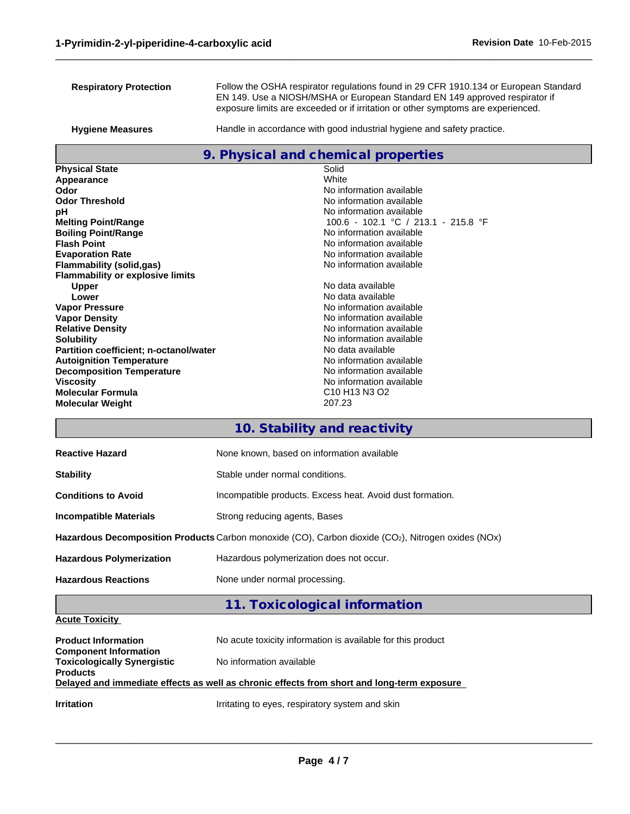| <b>Respiratory Protection</b>                              | Follow the OSHA respirator regulations found in 29 CFR 1910.134 or European Standard<br>EN 149. Use a NIOSH/MSHA or European Standard EN 149 approved respirator if |  |
|------------------------------------------------------------|---------------------------------------------------------------------------------------------------------------------------------------------------------------------|--|
|                                                            | exposure limits are exceeded or if irritation or other symptoms are experienced.                                                                                    |  |
| <b>Hygiene Measures</b>                                    | Handle in accordance with good industrial hygiene and safety practice.                                                                                              |  |
|                                                            | 9. Physical and chemical properties                                                                                                                                 |  |
| <b>Physical State</b>                                      | Solid                                                                                                                                                               |  |
| Appearance                                                 | White                                                                                                                                                               |  |
| Odor                                                       | No information available                                                                                                                                            |  |
| <b>Odor Threshold</b>                                      | No information available<br>No information available                                                                                                                |  |
| рH<br><b>Melting Point/Range</b>                           | 100.6 - 102.1 °C / 213.1 - 215.8 °F                                                                                                                                 |  |
| <b>Boiling Point/Range</b>                                 | No information available                                                                                                                                            |  |
| <b>Flash Point</b>                                         | No information available                                                                                                                                            |  |
| <b>Evaporation Rate</b>                                    | No information available                                                                                                                                            |  |
| <b>Flammability (solid,gas)</b>                            | No information available                                                                                                                                            |  |
| <b>Flammability or explosive limits</b>                    |                                                                                                                                                                     |  |
| <b>Upper</b>                                               | No data available                                                                                                                                                   |  |
| Lower                                                      | No data available                                                                                                                                                   |  |
| <b>Vapor Pressure</b>                                      | No information available                                                                                                                                            |  |
| <b>Vapor Density</b>                                       | No information available<br>No information available                                                                                                                |  |
| <b>Relative Density</b><br><b>Solubility</b>               | No information available                                                                                                                                            |  |
| Partition coefficient; n-octanol/water                     | No data available                                                                                                                                                   |  |
| <b>Autoignition Temperature</b>                            | No information available                                                                                                                                            |  |
| <b>Decomposition Temperature</b>                           | No information available                                                                                                                                            |  |
| <b>Viscosity</b>                                           | No information available                                                                                                                                            |  |
| <b>Molecular Formula</b>                                   | C <sub>10</sub> H <sub>13</sub> N <sub>3</sub> O <sub>2</sub>                                                                                                       |  |
| <b>Molecular Weight</b>                                    | 207.23                                                                                                                                                              |  |
|                                                            | 10. Stability and reactivity                                                                                                                                        |  |
| <b>Reactive Hazard</b>                                     | None known, based on information available                                                                                                                          |  |
| <b>Stability</b>                                           | Stable under normal conditions.                                                                                                                                     |  |
| <b>Conditions to Avoid</b>                                 | Incompatible products. Excess heat. Avoid dust formation.                                                                                                           |  |
| <b>Incompatible Materials</b>                              | Strong reducing agents, Bases                                                                                                                                       |  |
|                                                            | Hazardous Decomposition Products Carbon monoxide (CO), Carbon dioxide (CO2), Nitrogen oxides (NOx)                                                                  |  |
| <b>Hazardous Polymerization</b>                            | Hazardous polymerization does not occur.                                                                                                                            |  |
| <b>Hazardous Reactions</b>                                 | None under normal processing.                                                                                                                                       |  |
|                                                            | 11. Toxicological information                                                                                                                                       |  |
| <b>Acute Toxicity</b>                                      |                                                                                                                                                                     |  |
| <b>Product Information</b><br><b>Component Information</b> | No acute toxicity information is available for this product                                                                                                         |  |
| <b>Toxicologically Synergistic</b><br><b>Products</b>      | No information available                                                                                                                                            |  |
|                                                            | Delayed and immediate effects as well as chronic effects from short and long-term exposure                                                                          |  |
| <b>Irritation</b>                                          | Irritating to eyes, respiratory system and skin                                                                                                                     |  |
|                                                            |                                                                                                                                                                     |  |

 $\_$  ,  $\_$  ,  $\_$  ,  $\_$  ,  $\_$  ,  $\_$  ,  $\_$  ,  $\_$  ,  $\_$  ,  $\_$  ,  $\_$  ,  $\_$  ,  $\_$  ,  $\_$  ,  $\_$  ,  $\_$  ,  $\_$  ,  $\_$  ,  $\_$  ,  $\_$  ,  $\_$  ,  $\_$  ,  $\_$  ,  $\_$  ,  $\_$  ,  $\_$  ,  $\_$  ,  $\_$  ,  $\_$  ,  $\_$  ,  $\_$  ,  $\_$  ,  $\_$  ,  $\_$  ,  $\_$  ,  $\_$  ,  $\_$  ,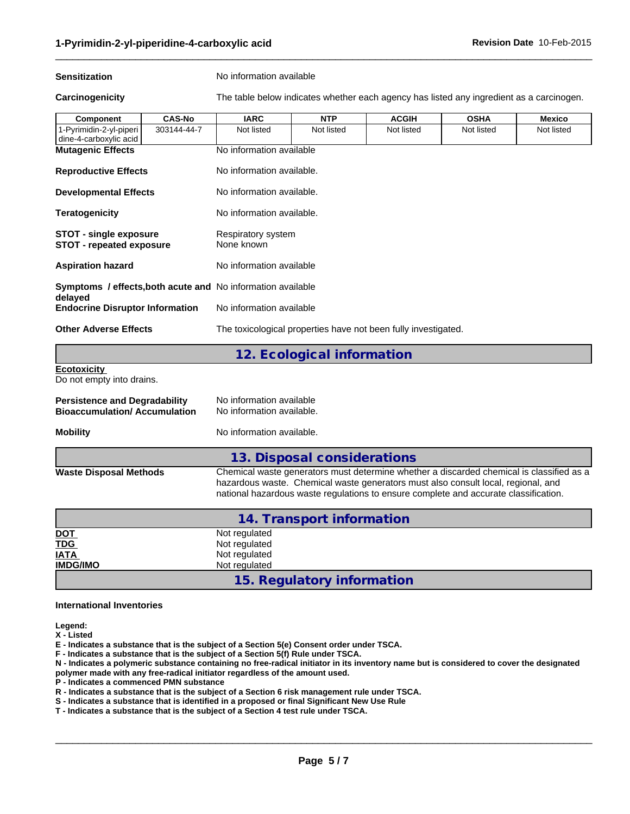**Sensitization** No information available

**Carcinogenicity** The table below indicates whether each agency has listed any ingredient as a carcinogen.

 $\_$  ,  $\_$  ,  $\_$  ,  $\_$  ,  $\_$  ,  $\_$  ,  $\_$  ,  $\_$  ,  $\_$  ,  $\_$  ,  $\_$  ,  $\_$  ,  $\_$  ,  $\_$  ,  $\_$  ,  $\_$  ,  $\_$  ,  $\_$  ,  $\_$  ,  $\_$  ,  $\_$  ,  $\_$  ,  $\_$  ,  $\_$  ,  $\_$  ,  $\_$  ,  $\_$  ,  $\_$  ,  $\_$  ,  $\_$  ,  $\_$  ,  $\_$  ,  $\_$  ,  $\_$  ,  $\_$  ,  $\_$  ,  $\_$  ,

| Component                                                                                      | <b>CAS-No</b> | <b>IARC</b>                      | <b>NTP</b>                 | <b>ACGIH</b> | <b>OSHA</b> | <b>Mexico</b> |  |
|------------------------------------------------------------------------------------------------|---------------|----------------------------------|----------------------------|--------------|-------------|---------------|--|
| 1-Pyrimidin-2-yl-piperi<br>dine-4-carboxylic acid                                              | 303144-44-7   | Not listed                       | Not listed                 | Not listed   | Not listed  | Not listed    |  |
| <b>Mutagenic Effects</b>                                                                       |               | No information available         |                            |              |             |               |  |
| <b>Reproductive Effects</b>                                                                    |               | No information available.        |                            |              |             |               |  |
| <b>Developmental Effects</b>                                                                   |               | No information available.        |                            |              |             |               |  |
| <b>Teratogenicity</b>                                                                          |               | No information available.        |                            |              |             |               |  |
| <b>STOT - single exposure</b><br><b>STOT - repeated exposure</b>                               |               | Respiratory system<br>None known |                            |              |             |               |  |
| <b>Aspiration hazard</b><br>No information available                                           |               |                                  |                            |              |             |               |  |
| <b>Symptoms / effects, both acute and No information available</b>                             |               |                                  |                            |              |             |               |  |
| delayed<br><b>Endocrine Disruptor Information</b>                                              |               | No information available         |                            |              |             |               |  |
| <b>Other Adverse Effects</b><br>The toxicological properties have not been fully investigated. |               |                                  |                            |              |             |               |  |
|                                                                                                |               |                                  | 12. Ecological information |              |             |               |  |
| <b>Ecotoxicity</b>                                                                             |               |                                  |                            |              |             |               |  |
| .                                                                                              |               |                                  |                            |              |             |               |  |

Do not empty into drains.

| <b>Persistence and Degradability</b> | No information available  |
|--------------------------------------|---------------------------|
| <b>Bioaccumulation/Accumulation</b>  | No information available. |

**Mobility** No information available.

|                               | 13. Disposal considerations                                                                                                                                                                                                                                           |
|-------------------------------|-----------------------------------------------------------------------------------------------------------------------------------------------------------------------------------------------------------------------------------------------------------------------|
| <b>Waste Disposal Methods</b> | Chemical waste generators must determine whether a discarded chemical is classified as a<br>hazardous waste. Chemical waste generators must also consult local, regional, and<br>national hazardous waste regulations to ensure complete and accurate classification. |

| 14. Transport information |                            |  |
|---------------------------|----------------------------|--|
|                           | Not regulated              |  |
| <u>DOT</u><br>TDG<br>IATA | Not regulated              |  |
|                           | Not regulated              |  |
| <b>IMDG/IMO</b>           | Not regulated              |  |
|                           | 15. Regulatory information |  |

#### **International Inventories**

**Legend:**

**X - Listed**

**E - Indicates a substance that is the subject of a Section 5(e) Consent order under TSCA.**

**F - Indicates a substance that is the subject of a Section 5(f) Rule under TSCA.**

**N - Indicates a polymeric substance containing no free-radical initiator in its inventory name but is considered to cover the designated polymer made with any free-radical initiator regardless of the amount used.**

**P - Indicates a commenced PMN substance**

**R - Indicates a substance that is the subject of a Section 6 risk management rule under TSCA.**

- **S Indicates a substance that is identified in a proposed or final Significant New Use Rule**
- **T Indicates a substance that is the subject of a Section 4 test rule under TSCA.**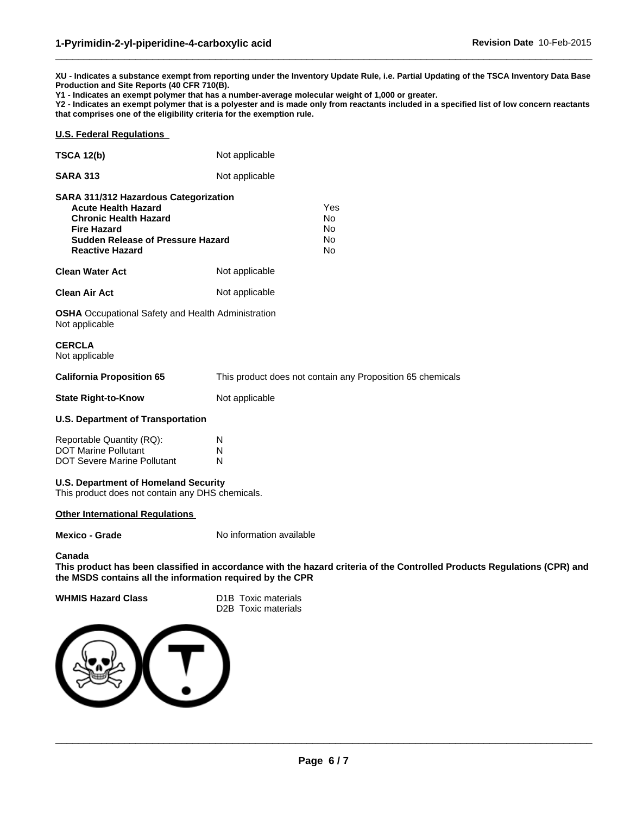**XU - Indicates a substance exempt from reporting under the Inventory Update Rule, i.e. Partial Updating of the TSCA Inventory Data Base Production and Site Reports (40 CFR 710(B).**

 $\_$  ,  $\_$  ,  $\_$  ,  $\_$  ,  $\_$  ,  $\_$  ,  $\_$  ,  $\_$  ,  $\_$  ,  $\_$  ,  $\_$  ,  $\_$  ,  $\_$  ,  $\_$  ,  $\_$  ,  $\_$  ,  $\_$  ,  $\_$  ,  $\_$  ,  $\_$  ,  $\_$  ,  $\_$  ,  $\_$  ,  $\_$  ,  $\_$  ,  $\_$  ,  $\_$  ,  $\_$  ,  $\_$  ,  $\_$  ,  $\_$  ,  $\_$  ,  $\_$  ,  $\_$  ,  $\_$  ,  $\_$  ,  $\_$  ,

```
Y1 - Indicates an exempt polymer that has a number-average molecular weight of 1,000 or greater.
```
**Y2 - Indicates an exempt polymer that is a polyester and is made only from reactants included in a specified list of low concern reactants that comprises one of the eligibility criteria for the exemption rule.**

#### **U.S. Federal Regulations**

| <b>SARA 311/312 Hazardous Categorization</b> |                |  |
|----------------------------------------------|----------------|--|
| <b>SARA 313</b>                              | Not applicable |  |
| <b>TSCA 12(b)</b>                            | Not applicable |  |

| <b>Acute Health Hazard</b>        |                | Yes |  |
|-----------------------------------|----------------|-----|--|
| <b>Chronic Health Hazard</b>      |                | No  |  |
| <b>Fire Hazard</b>                |                | No  |  |
| Sudden Release of Pressure Hazard |                | No  |  |
| <b>Reactive Hazard</b>            |                | No  |  |
| Clean Water Act                   | Not applicable |     |  |
|                                   |                |     |  |

**Clean Air Act** Not applicable

**OSHA** Occupational Safety and Health Administration Not applicable

## **CERCLA**

Not applicable

| California Proposition 65 | This product does not contain any Proposition 65 chemicals |
|---------------------------|------------------------------------------------------------|
|---------------------------|------------------------------------------------------------|

### **State Right-to-Know** Not applicable

#### **U.S. Department of Transportation**

| Reportable Quantity (RQ):          | N |
|------------------------------------|---|
| <b>DOT Marine Pollutant</b>        | N |
| <b>DOT Severe Marine Pollutant</b> | N |

#### **U.S. Department of Homeland Security**

This product does not contain any DHS chemicals.

#### **Other International Regulations**

**Mexico - Grade** No information available

#### **Canada**

**This product has been classified in accordance with the hazard criteria of the Controlled Products Regulations (CPR) and the MSDS contains all the information required by the CPR**

#### **WHMIS Hazard Class** D1B Toxic materials

D2B Toxic materials